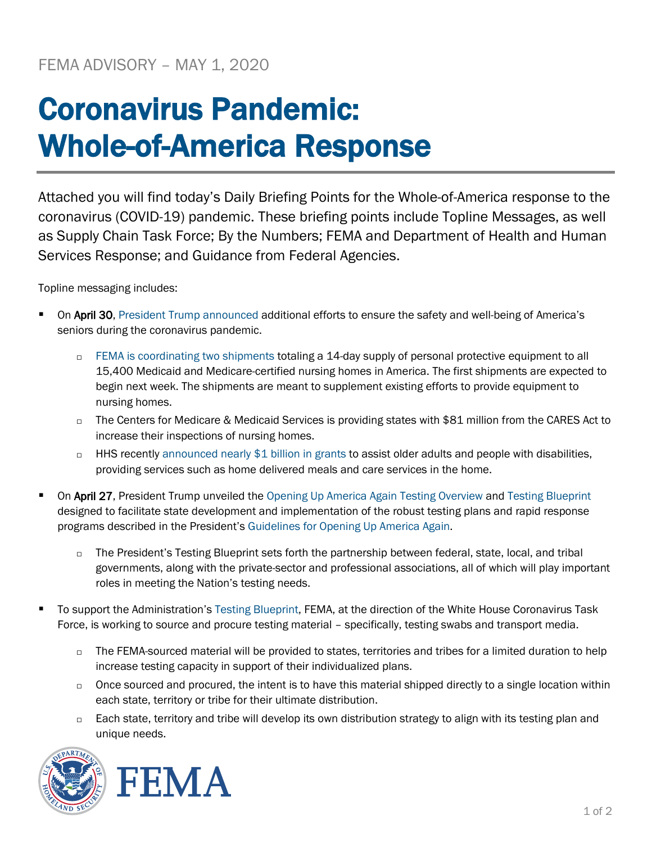## Coronavirus Pandemic: Whole-of-America Response

Attached you will find today's Daily Briefing Points for the Whole-of-America response to the coronavirus (COVID-19) pandemic. These briefing points include Topline Messages, as well as Supply Chain Task Force; By the Numbers; FEMA and Department of Health and Human Services Response; and Guidance from Federal Agencies.

Topline messaging includes:

- On April 30, [President Trump announced](https://www.whitehouse.gov/briefings-statements/president-donald-j-trump-remains-committed-caring-nations-seniors-coronavirus-pandemic-beyond/) additional efforts to ensure the safety and well-being of America's seniors during the coronavirus pandemic.
	- [FEMA is coordinating two](https://www.fema.gov/news-release/2020/04/30/personal-protective-equipment-medicare-and-medicaid-nursing-homes) shipments totaling a 14-day supply of personal protective equipment to all 15,400 Medicaid and Medicare-certified nursing homes in America. The first shipments are expected to begin next week. The shipments are meant to supplement existing efforts to provide equipment to nursing homes.
	- □ The Centers for Medicare & Medicaid Services is providing states with \$81 million from the CARES Act to increase their inspections of nursing homes.
	- $\Box$  HHS recently [announced nearly \\$1 billion in grants](https://www.hhs.gov/about/news/2020/04/21/hhs-announces-nearly-1-billion-cares-act-grants-support-older-adults-people-with-disabilities-community-during-covid-19-emergency.html) to assist older adults and people with disabilities, providing services such as home delivered meals and care services in the home.
- On April 27, President Trump unveiled the [Opening Up America Again Testing Overview](https://www.whitehouse.gov/wp-content/uploads/2020/04/Testing-Overview-Final.pdf) and [Testing Blueprint](https://www.whitehouse.gov/wp-content/uploads/2020/04/Testing-Overview-Final.pdf) designed to facilitate state development and implementation of the robust testing plans and rapid response programs described in the President's [Guidelines for Opening Up America Again.](https://www.whitehouse.gov/openingamerica/)
	- $\Box$  The President's Testing Blueprint sets forth the partnership between federal, state, local, and tribal governments, along with the private-sector and professional associations, all of which will play important roles in meeting the Nation's testing needs.
- To support the Administration's [Testing Blueprint,](https://www.whitehouse.gov/wp-content/uploads/2020/04/Testing-Blueprint.pdf) FEMA, at the direction of the White House Coronavirus Task Force, is working to source and procure testing material – specifically, testing swabs and transport media.
	- $\Box$  The FEMA-sourced material will be provided to states, territories and tribes for a limited duration to help increase testing capacity in support of their individualized plans.
	- o Once sourced and procured, the intent is to have this material shipped directly to a single location within each state, territory or tribe for their ultimate distribution.
	- $\Box$  Each state, territory and tribe will develop its own distribution strategy to align with its testing plan and unique needs.